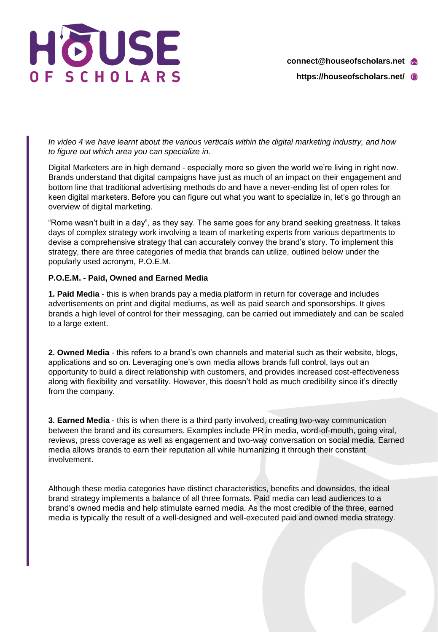

*In video 4 we have learnt about the various verticals within the digital marketing industry, and how to figure out which area you can specialize in.*

Digital Marketers are in high demand - especially more so given the world we're living in right now. Brands understand that digital campaigns have just as much of an impact on their engagement and bottom line that traditional advertising methods do and have a never-ending list of open roles for keen digital marketers. Before you can figure out what you want to specialize in, let's go through an overview of digital marketing.

"Rome wasn't built in a day", as they say. The same goes for any brand seeking greatness. It takes days of complex strategy work involving a team of marketing experts from various departments to devise a comprehensive strategy that can accurately convey the brand's story. To implement this strategy, there are three categories of media that brands can utilize, outlined below under the popularly used acronym, P.O.E.M.

## **P.O.E.M. - Paid, Owned and Earned Media**

**1. Paid Media** - this is when brands pay a media platform in return for coverage and includes advertisements on print and digital mediums, as well as paid search and sponsorships. It gives brands a high level of control for their messaging, can be carried out immediately and can be scaled to a large extent.

**2. Owned Media** - this refers to a brand's own channels and material such as their website, blogs, applications and so on. Leveraging one's own media allows brands full control, lays out an opportunity to build a direct relationship with customers, and provides increased cost-effectiveness along with flexibility and versatility. However, this doesn't hold as much credibility since it's directly from the company.

**3. Earned Media** - this is when there is a third party involved, creating two-way communication between the brand and its consumers. Examples include PR in media, word-of-mouth, going viral, reviews, press coverage as well as engagement and two-way conversation on social media. Earned media allows brands to earn their reputation all while humanizing it through their constant involvement.

Although these media categories have distinct characteristics, benefits and downsides, the ideal brand strategy implements a balance of all three formats. Paid media can lead audiences to a brand's owned media and help stimulate earned media. As the most credible of the three, earned media is typically the result of a well-designed and well-executed paid and owned media strategy.